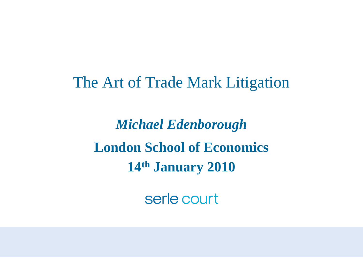The Art of Trade Mark Litigation

*Michael Edenborough* **London School of Economics 14th January 2010**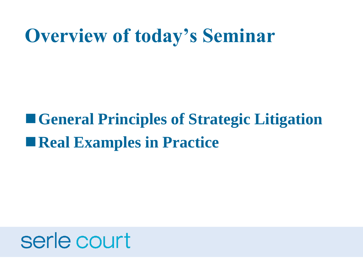#### **Overview of today's Seminar**

#### **General Principles of Strategic Litigation Real Examples in Practice**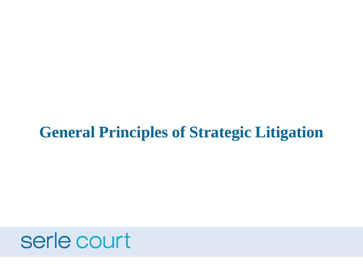#### **General Principles of Strategic Litigation**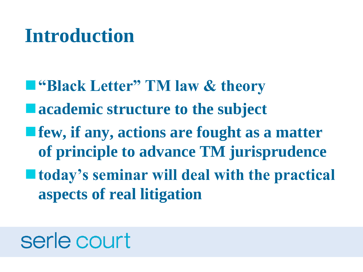#### **Introduction**

- **"Black Letter" TM law & theory** ■ academic structure to the subject
- **f**ew, if any, actions are fought as a matter **of principle to advance TM jurisprudence**
- **today's seminar will deal with the practical aspects of real litigation**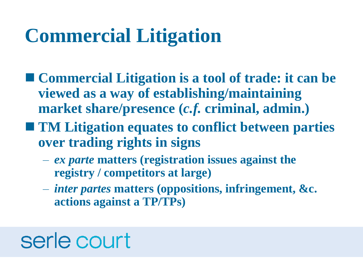## **Commercial Litigation**

- **Commercial Litigation is a tool of trade: it can be viewed as a way of establishing/maintaining market share/presence (***c.f.* **criminal, admin.)**
- **TM Litigation equates to conflict between parties over trading rights in signs**
	- *ex parte* **matters (registration issues against the registry / competitors at large)**
	- *inter partes* **matters (oppositions, infringement, &c. actions against a TP/TPs)**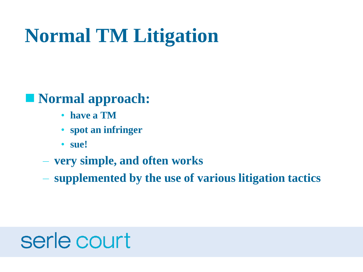# **Normal TM Litigation**

#### **Normal approach:**

- **have a TM**
- **spot an infringer**
- **sue!**
- **very simple, and often works**
- **supplemented by the use of various litigation tactics**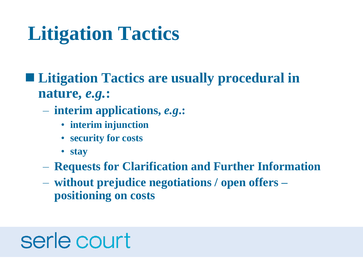# **Litigation Tactics**

#### ■ Litigation Tactics are usually procedural in **nature,** *e.g.***:**

- **interim applications,** *e.g***.:**
	- **interim injunction**
	- **security for costs**
	- **stay**
- **Requests for Clarification and Further Information**
- **without prejudice negotiations / open offers – positioning on costs**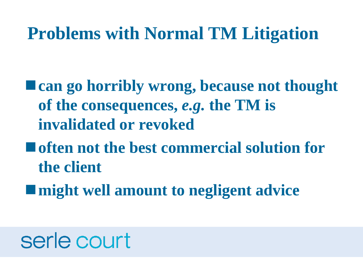#### **Problems with Normal TM Litigation**

- **Exam go horribly wrong, because not thought of the consequences,** *e.g.* **the TM is invalidated or revoked**
- **often not the best commercial solution for the client**
- **might well amount to negligent advice**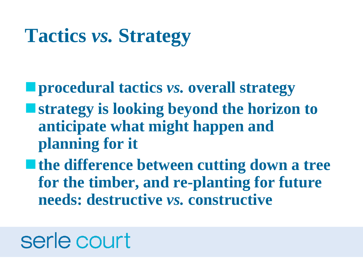## **Tactics** *vs.* **Strategy**

**procedural tactics** *vs.* **overall strategy**

- **strategy is looking beyond the horizon to anticipate what might happen and planning for it**
- **the difference between cutting down a tree for the timber, and re-planting for future needs: destructive** *vs.* **constructive**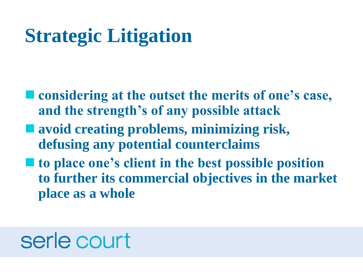# **Strategic Litigation**

- considering at the outset the merits of one's case, **and the strength's of any possible attack**
- avoid creating problems, minimizing risk, **defusing any potential counterclaims**
- to place one's client in the best possible position **to further its commercial objectives in the market place as a whole**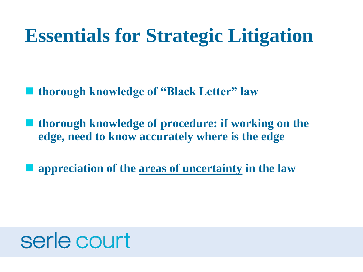#### **Essentials for Strategic Litigation**

**thorough knowledge of "Black Letter" law**

 **thorough knowledge of procedure: if working on the edge, need to know accurately where is the edge**

**appreciation of the areas of uncertainty in the law**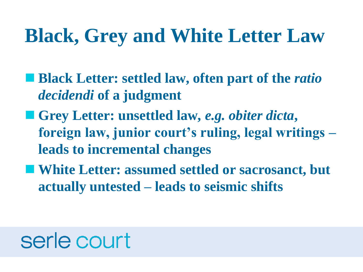#### **Black, Grey and White Letter Law**

- **Black Letter: settled law, often part of the** *ratio decidendi* **of a judgment**
- **Grey Letter: unsettled law,** *e.g. obiter dicta***, foreign law, junior court's ruling, legal writings – leads to incremental changes**
- White Letter: assumed settled or sacrosanct, but **actually untested – leads to seismic shifts**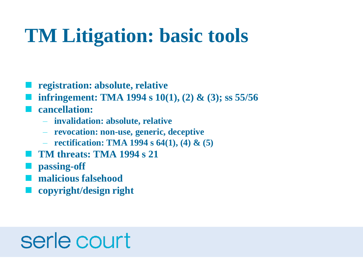## **TM Litigation: basic tools**

- **registration: absolute, relative**
- **infringement: TMA 1994 s 10(1), (2) & (3); ss 55/56**
- **cancellation:**
	- **invalidation: absolute, relative**
	- **revocation: non-use, generic, deceptive**
	- **rectification: TMA 1994 s 64(1), (4) & (5)**
- **TM threats: TMA 1994 s 21**
- **passing-off**
- **malicious falsehood**
- **copyright/design right**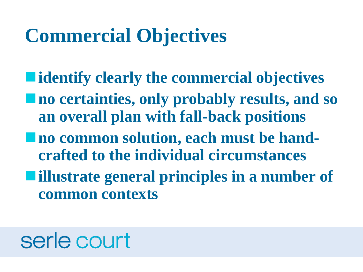#### **Commercial Objectives**

- **identify clearly the commercial objectives**
- **no certainties, only probably results, and so an overall plan with fall-back positions**
- **no common solution, each must be handcrafted to the individual circumstances**
- **illustrate general principles in a number of common contexts**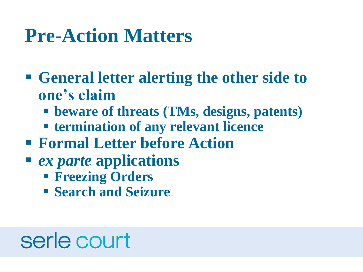#### **Pre-Action Matters**

- **General letter alerting the other side to one's claim**
	- **beware of threats (TMs, designs, patents)**
	- **termination of any relevant licence**
- **Formal Letter before Action**
- *ex parte* **applications**
	- **Freezing Orders**
	- **Search and Seizure**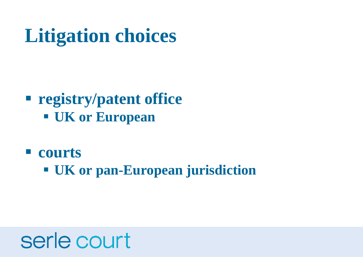# **Litigation choices**

#### **registry/patent office UK or European**

**courts**

**UK or pan-European jurisdiction**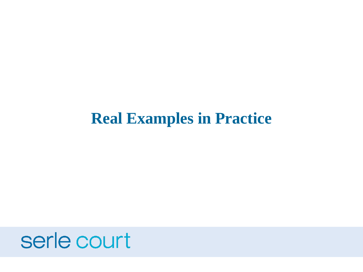#### **Real Examples in Practice**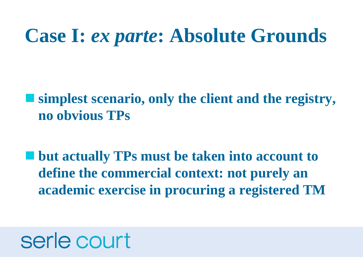#### **Case I:** *ex parte***: Absolute Grounds**

 **simplest scenario, only the client and the registry, no obvious TPs**

 **but actually TPs must be taken into account to define the commercial context: not purely an academic exercise in procuring a registered TM**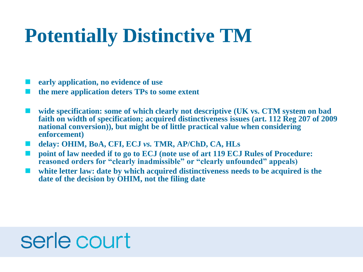## **Potentially Distinctive TM**

- **early application, no evidence of use**
- **the mere application deters TPs to some extent**
- **wide specification: some of which clearly not descriptive (UK vs. CTM system on bad faith on width of specification; acquired distinctiveness issues (art. 112 Reg 207 of 2009 national conversion)), but might be of little practical value when considering enforcement)**
- **delay: OHIM, BoA, CFI, ECJ** *vs.* **TMR, AP/ChD, CA, HLs**
- **Point of law needed if to go to ECJ (note use of art 119 ECJ Rules of Procedure: reasoned orders for "clearly inadmissible" or "clearly unfounded" appeals)**
- **white letter law: date by which acquired distinctiveness needs to be acquired is the date of the decision by OHIM, not the filing date**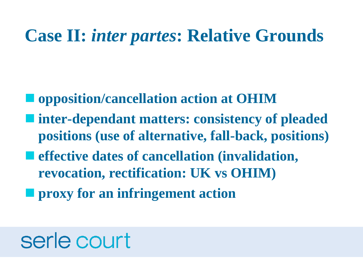#### **Case II:** *inter partes***: Relative Grounds**

- **opposition/cancellation action at OHIM**
- **inter-dependant matters: consistency of pleaded positions (use of alternative, fall-back, positions)**
- **effective dates of cancellation (invalidation, revocation, rectification: UK vs OHIM)**
- **<u><b>Peroxy**</u> for an infringement action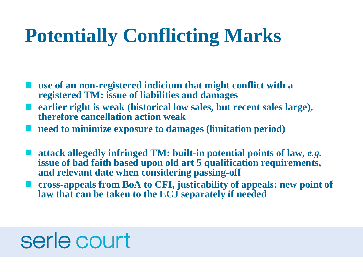## **Potentially Conflicting Marks**

- **use of an non-registered indicium that might conflict with a registered TM: issue of liabilities and damages**
- **earlier right is weak (historical low sales, but recent sales large), therefore cancellation action weak**
- **need to minimize exposure to damages (limitation period)**
- **attack allegedly infringed TM: built-in potential points of law,** *e.g.* **issue of bad faith based upon old art 5 qualification requirements, and relevant date when considering passing-off**
- **cross-appeals from BoA to CFI, justicability of appeals: new point of law that can be taken to the ECJ separately if needed**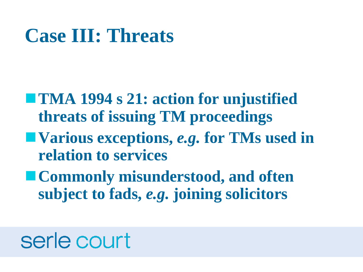#### **Case III: Threats**

- TMA 1994 s 21: action for unjustified **threats of issuing TM proceedings**
- **Various exceptions,** *e.g.* **for TMs used in relation to services**
- **Commonly misunderstood, and often subject to fads,** *e.g.* **joining solicitors**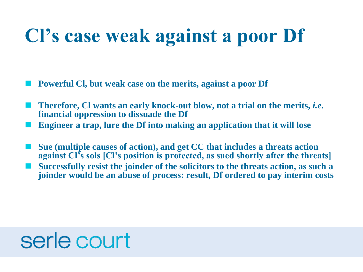#### **Cl's case weak against a poor Df**

**Powerful Cl, but weak case on the merits, against a poor Df**

- **Therefore, Cl wants an early knock-out blow, not a trial on the merits,** *i.e.* **financial oppression to dissuade the Df**
- **Engineer a trap, lure the Df into making an application that it will lose**
- **Sue (multiple causes of action), and get CC that includes a threats action against Cl's sols [Cl's position is protected, as sued shortly after the threats]**
- **Successfully resist the joinder of the solicitors to the threats action, as such a joinder would be an abuse of process: result, Df ordered to pay interim costs**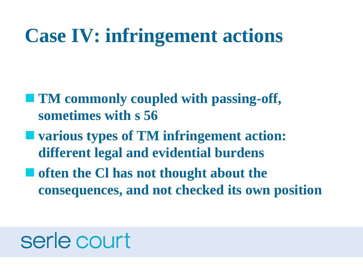#### **Case IV: infringement actions**

- TM commonly coupled with passing-off, **sometimes with s 56**
- **various types of TM infringement action: different legal and evidential burdens**
- $\blacksquare$  often the Cl has not thought about the **consequences, and not checked its own position**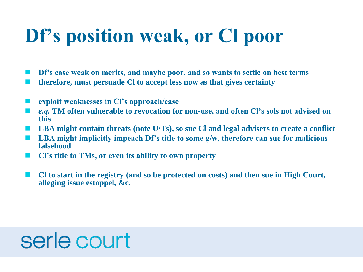# **Df's position weak, or Cl poor**

**Df's case weak on merits, and maybe poor, and so wants to settle on best terms**

- **therefore, must persuade Cl to accept less now as that gives certainty**
- **exploit weaknesses in Cl's approach/case**
- *e.g.* **TM often vulnerable to revocation for non-use, and often Cl's sols not advised on this**
- **LBA might contain threats (note U/Ts), so sue Cl and legal advisers to create a conflict**
- **LBA might implicitly impeach Df's title to some g/w, therefore can sue for malicious falsehood**
- **Cl's title to TMs, or even its ability to own property**
- **Cl to start in the registry (and so be protected on costs) and then sue in High Court, alleging issue estoppel, &c.**